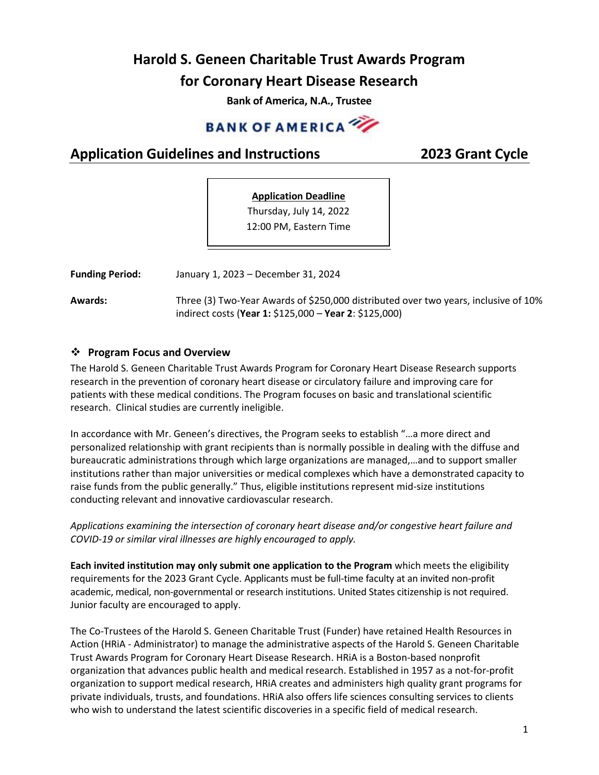# **Harold S. Geneen Charitable Trust Awards Program for Coronary Heart Disease Research**

**Bank of America, N.A., Trustee**



# **Application Guidelines and Instructions 2023 Grant Cycle**

# **Application Deadline** Thursday, July 14, 2022

12:00 PM, Eastern Time

**Funding Period:** January 1, 2023 – December 31, 2024

**Awards:** Three (3) Two-Year Awards of \$250,000 distributed over two years, inclusive of 10% indirect costs (**Year 1:** \$125,000 – **Year 2**: \$125,000)

# ❖ **Program Focus and Overview**

The Harold S. Geneen Charitable Trust Awards Program for Coronary Heart Disease Research supports research in the prevention of coronary heart disease or circulatory failure and improving care for patients with these medical conditions. The Program focuses on basic and translational scientific research. Clinical studies are currently ineligible.

In accordance with Mr. Geneen's directives, the Program seeks to establish "…a more direct and personalized relationship with grant recipients than is normally possible in dealing with the diffuse and bureaucratic administrations through which large organizations are managed,…and to support smaller institutions rather than major universities or medical complexes which have a demonstrated capacity to raise funds from the public generally." Thus, eligible institutions represent mid-size institutions conducting relevant and innovative cardiovascular research.

*Applications examining the intersection of coronary heart disease and/or congestive heart failure and COVID-19 or similar viral illnesses are highly encouraged to apply.*

**Each invited institution may only submit one application to the Program** which meets the eligibility requirements for the 2023 Grant Cycle. Applicants must be full-time faculty at an invited non-profit academic, medical, non-governmental or research institutions. United States citizenship is not required. Junior faculty are encouraged to apply.

The Co-Trustees of the Harold S. Geneen Charitable Trust (Funder) have retained Health Resources in Action (HRiA - Administrator) to manage the administrative aspects of the Harold S. Geneen Charitable Trust Awards Program for Coronary Heart Disease Research. HRiA is a Boston-based nonprofit organization that advances public health and medical research. Established in 1957 as a not-for-profit organization to support medical research, HRiA creates and administers high quality grant programs for private individuals, trusts, and foundations. HRiA also offers life sciences consulting services to clients who wish to understand the latest scientific discoveries in a specific field of medical research.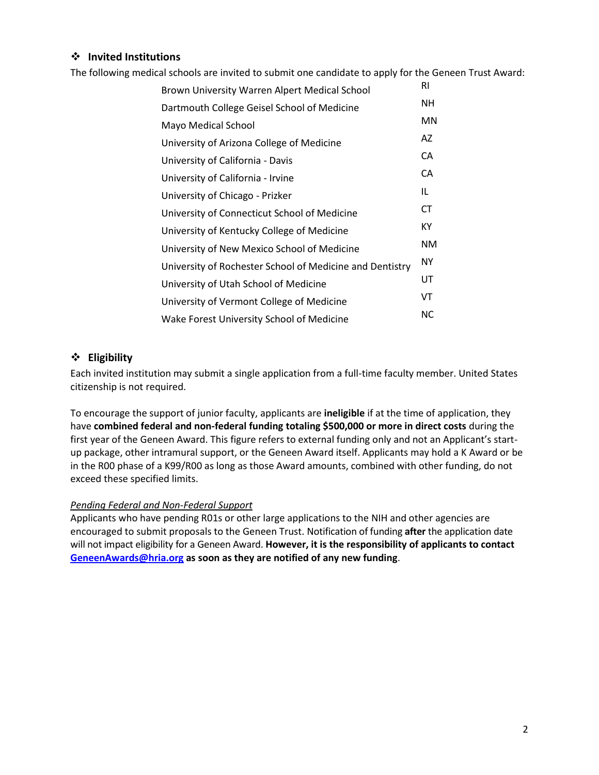# ❖ **Invited Institutions**

The following medical schools are invited to submit one candidate to apply for the Geneen Trust Award:

| RI        |
|-----------|
| NΗ        |
| <b>MN</b> |
| AZ        |
| CA        |
| CA        |
| IL        |
| СT        |
| ΚY        |
| ΝM        |
| <b>NY</b> |
| UT        |
| VT        |
| <b>NC</b> |
|           |

### ❖ **Eligibility**

Each invited institution may submit a single application from a full-time faculty member. United States citizenship is not required.

To encourage the support of junior faculty, applicants are **ineligible** if at the time of application, they have **combined federal and non-federal funding totaling \$500,000 or more in direct costs** during the first year of the Geneen Award. This figure refers to external funding only and not an Applicant's startup package, other intramural support, or the Geneen Award itself. Applicants may hold a K Award or be in the R00 phase of a K99/R00 as long as those Award amounts, combined with other funding, do not exceed these specified limits.

#### *Pending Federal and Non-Federal Support*

Applicants who have pending R01s or other large applications to the NIH and other agencies are encouraged to submit proposals to the Geneen Trust. Notification of funding **after** the application date will not impact eligibility for a Geneen Award. **However, it is the responsibility of applicants to contact [GeneenAwards@hria.org](mailto:GeneenAwards@hria.org) as soon as they are notified of any new funding**.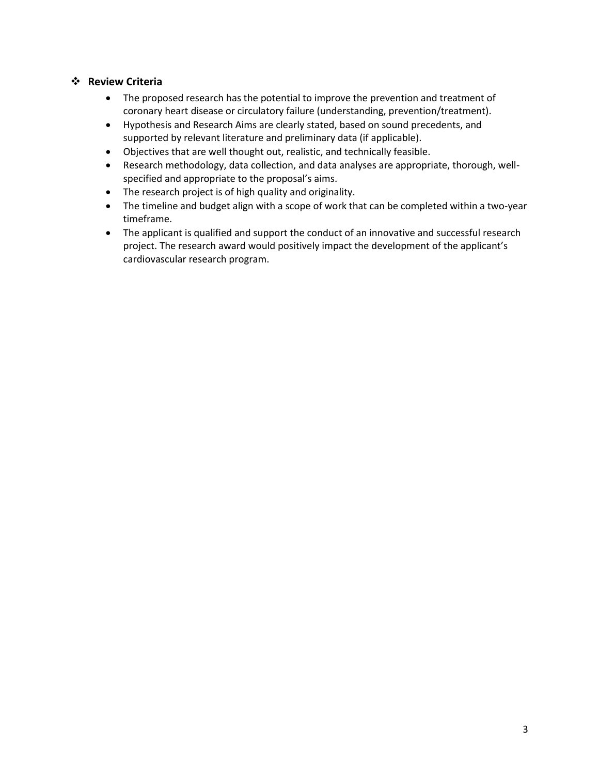# ❖ **Review Criteria**

- The proposed research has the potential to improve the prevention and treatment of coronary heart disease or circulatory failure (understanding, prevention/treatment).
- Hypothesis and Research Aims are clearly stated, based on sound precedents, and supported by relevant literature and preliminary data (if applicable).
- Objectives that are well thought out, realistic, and technically feasible.
- Research methodology, data collection, and data analyses are appropriate, thorough, wellspecified and appropriate to the proposal's aims.
- The research project is of high quality and originality.
- The timeline and budget align with a scope of work that can be completed within a two-year timeframe.
- The applicant is qualified and support the conduct of an innovative and successful research project. The research award would positively impact the development of the applicant's cardiovascular research program.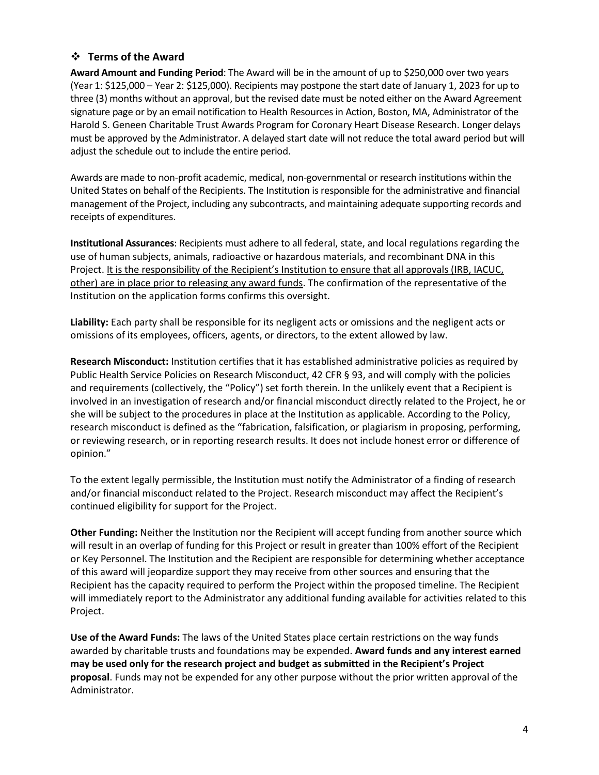# ❖ **Terms of the Award**

**Award Amount and Funding Period**: The Award will be in the amount of up to \$250,000 over two years (Year 1: \$125,000 – Year 2: \$125,000). Recipients may postpone the start date of January 1, 2023 for up to three (3) months without an approval, but the revised date must be noted either on the Award Agreement signature page or by an email notification to Health Resources in Action, Boston, MA, Administrator of the Harold S. Geneen Charitable Trust Awards Program for Coronary Heart Disease Research. Longer delays must be approved by the Administrator. A delayed start date will not reduce the total award period but will adjust the schedule out to include the entire period.

Awards are made to non-profit academic, medical, non-governmental or research institutions within the United States on behalf of the Recipients. The Institution is responsible for the administrative and financial management of the Project, including any subcontracts, and maintaining adequate supporting records and receipts of expenditures.

**Institutional Assurances**: Recipients must adhere to all federal, state, and local regulations regarding the use of human subjects, animals, radioactive or hazardous materials, and recombinant DNA in this Project. It is the responsibility of the Recipient's Institution to ensure that all approvals (IRB, IACUC, other) are in place prior to releasing any award funds. The confirmation of the representative of the Institution on the application forms confirms this oversight.

**Liability:** Each party shall be responsible for its negligent acts or omissions and the negligent acts or omissions of its employees, officers, agents, or directors, to the extent allowed by law.

**Research Misconduct:** Institution certifies that it has established administrative policies as required by Public Health Service Policies on Research Misconduct, 42 CFR § 93, and will comply with the policies and requirements (collectively, the "Policy") set forth therein. In the unlikely event that a Recipient is involved in an investigation of research and/or financial misconduct directly related to the Project, he or she will be subject to the procedures in place at the Institution as applicable. According to the Policy, research misconduct is defined as the "fabrication, falsification, or plagiarism in proposing, performing, or reviewing research, or in reporting research results. It does not include honest error or difference of opinion."

To the extent legally permissible, the Institution must notify the Administrator of a finding of research and/or financial misconduct related to the Project. Research misconduct may affect the Recipient's continued eligibility for support for the Project.

**Other Funding:** Neither the Institution nor the Recipient will accept funding from another source which will result in an overlap of funding for this Project or result in greater than 100% effort of the Recipient or Key Personnel. The Institution and the Recipient are responsible for determining whether acceptance of this award will jeopardize support they may receive from other sources and ensuring that the Recipient has the capacity required to perform the Project within the proposed timeline. The Recipient will immediately report to the Administrator any additional funding available for activities related to this Project.

**Use of the Award Funds:** The laws of the United States place certain restrictions on the way funds awarded by charitable trusts and foundations may be expended. **Award funds and any interest earned may be used only for the research project and budget as submitted in the Recipient's Project proposal**. Funds may not be expended for any other purpose without the prior written approval of the Administrator.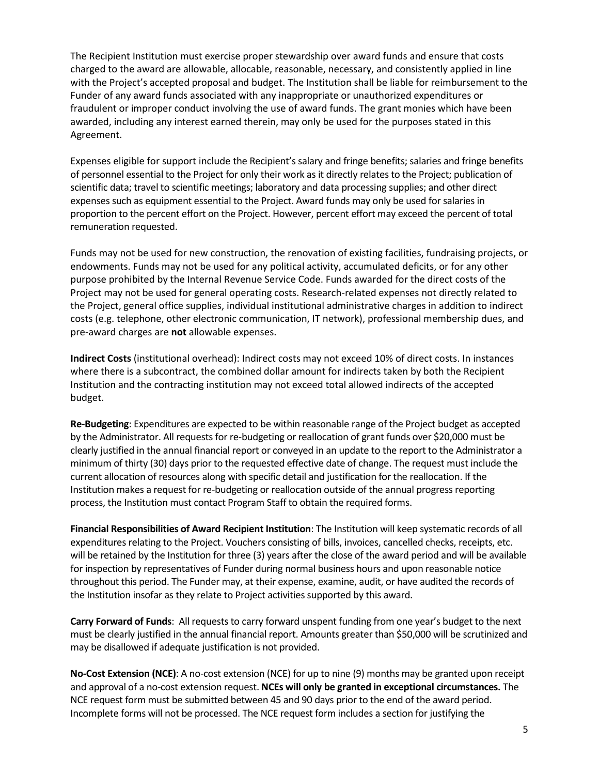The Recipient Institution must exercise proper stewardship over award funds and ensure that costs charged to the award are allowable, allocable, reasonable, necessary, and consistently applied in line with the Project's accepted proposal and budget. The Institution shall be liable for reimbursement to the Funder of any award funds associated with any inappropriate or unauthorized expenditures or fraudulent or improper conduct involving the use of award funds. The grant monies which have been awarded, including any interest earned therein, may only be used for the purposes stated in this Agreement.

Expenses eligible for support include the Recipient's salary and fringe benefits; salaries and fringe benefits of personnel essential to the Project for only their work as it directly relates to the Project; publication of scientific data; travel to scientific meetings; laboratory and data processing supplies; and other direct expenses such as equipment essential to the Project. Award funds may only be used for salaries in proportion to the percent effort on the Project. However, percent effort may exceed the percent of total remuneration requested.

Funds may not be used for new construction, the renovation of existing facilities, fundraising projects, or endowments. Funds may not be used for any political activity, accumulated deficits, or for any other purpose prohibited by the Internal Revenue Service Code. Funds awarded for the direct costs of the Project may not be used for general operating costs. Research-related expenses not directly related to the Project, general office supplies, individual institutional administrative charges in addition to indirect costs (e.g. telephone, other electronic communication, IT network), professional membership dues, and pre-award charges are **not** allowable expenses.

**Indirect Costs** (institutional overhead): Indirect costs may not exceed 10% of direct costs. In instances where there is a subcontract, the combined dollar amount for indirects taken by both the Recipient Institution and the contracting institution may not exceed total allowed indirects of the accepted budget.

**Re-Budgeting**: Expenditures are expected to be within reasonable range of the Project budget as accepted by the Administrator. All requests for re-budgeting or reallocation of grant funds over \$20,000 must be clearly justified in the annual financial report or conveyed in an update to the report to the Administrator a minimum of thirty (30) days prior to the requested effective date of change. The request must include the current allocation of resources along with specific detail and justification for the reallocation. If the Institution makes a request for re-budgeting or reallocation outside of the annual progress reporting process, the Institution must contact Program Staff to obtain the required forms.

**Financial Responsibilities of Award Recipient Institution**: The Institution will keep systematic records of all expenditures relating to the Project. Vouchers consisting of bills, invoices, cancelled checks, receipts, etc. will be retained by the Institution for three (3) years after the close of the award period and will be available for inspection by representatives of Funder during normal business hours and upon reasonable notice throughout this period. The Funder may, at their expense, examine, audit, or have audited the records of the Institution insofar as they relate to Project activities supported by this award.

**Carry Forward of Funds**: All requests to carry forward unspent funding from one year's budget to the next must be clearly justified in the annual financial report. Amounts greater than \$50,000 will be scrutinized and may be disallowed if adequate justification is not provided.

**No-Cost Extension (NCE)**: A no-cost extension (NCE) for up to nine (9) months may be granted upon receipt and approval of a no-cost extension request. **NCEs will only be granted in exceptional circumstances.** The NCE request form must be submitted between 45 and 90 days prior to the end of the award period. Incomplete forms will not be processed. The NCE request form includes a section for justifying the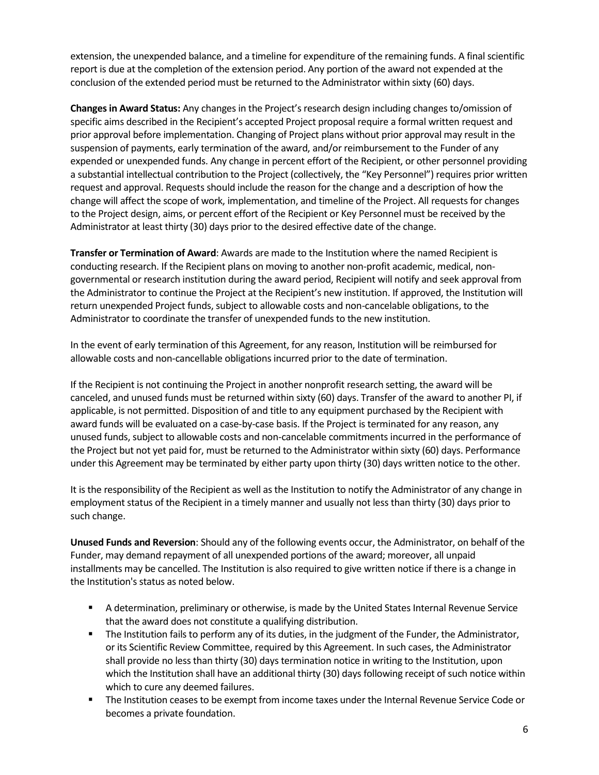extension, the unexpended balance, and a timeline for expenditure of the remaining funds. A final scientific report is due at the completion of the extension period. Any portion of the award not expended at the conclusion of the extended period must be returned to the Administrator within sixty (60) days.

**Changes in Award Status:** Any changes in the Project's research design including changes to/omission of specific aims described in the Recipient's accepted Project proposal require a formal written request and prior approval before implementation. Changing of Project plans without prior approval may result in the suspension of payments, early termination of the award, and/or reimbursement to the Funder of any expended or unexpended funds. Any change in percent effort of the Recipient, or other personnel providing a substantial intellectual contribution to the Project (collectively, the "Key Personnel") requires prior written request and approval. Requests should include the reason for the change and a description of how the change will affect the scope of work, implementation, and timeline of the Project. All requests for changes to the Project design, aims, or percent effort of the Recipient or Key Personnel must be received by the Administrator at least thirty (30) days prior to the desired effective date of the change.

**Transfer or Termination of Award**: Awards are made to the Institution where the named Recipient is conducting research. If the Recipient plans on moving to another non-profit academic, medical, nongovernmental or research institution during the award period, Recipient will notify and seek approval from the Administrator to continue the Project at the Recipient's new institution. If approved, the Institution will return unexpended Project funds, subject to allowable costs and non-cancelable obligations, to the Administrator to coordinate the transfer of unexpended funds to the new institution.

In the event of early termination of this Agreement, for any reason, Institution will be reimbursed for allowable costs and non-cancellable obligations incurred prior to the date of termination.

If the Recipient is not continuing the Project in another nonprofit research setting, the award will be canceled, and unused funds must be returned within sixty (60) days. Transfer of the award to another PI, if applicable, is not permitted. Disposition of and title to any equipment purchased by the Recipient with award funds will be evaluated on a case-by-case basis. If the Project is terminated for any reason, any unused funds, subject to allowable costs and non-cancelable commitments incurred in the performance of the Project but not yet paid for, must be returned to the Administrator within sixty (60) days. Performance under this Agreement may be terminated by either party upon thirty (30) days written notice to the other.

It is the responsibility of the Recipient as well as the Institution to notify the Administrator of any change in employment status of the Recipient in a timely manner and usually not less than thirty (30) days prior to such change.

**Unused Funds and Reversion**: Should any of the following events occur, the Administrator, on behalf of the Funder, may demand repayment of all unexpended portions of the award; moreover, all unpaid installments may be cancelled. The Institution is also required to give written notice if there is a change in the Institution's status as noted below.

- A determination, preliminary or otherwise, is made by the United States Internal Revenue Service that the award does not constitute a qualifying distribution.
- **■** The Institution fails to perform any of its duties, in the judgment of the Funder, the Administrator, or its Scientific Review Committee, required by this Agreement. In such cases, the Administrator shall provide no less than thirty (30) days termination notice in writing to the Institution, upon which the Institution shall have an additional thirty (30) days following receipt of such notice within which to cure any deemed failures.
- The Institution ceases to be exempt from income taxes under the Internal Revenue Service Code or becomes a private foundation.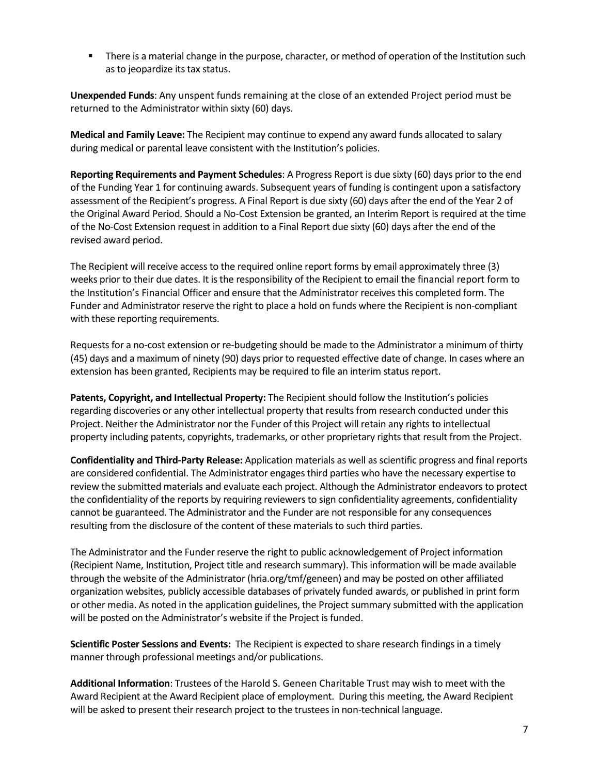**■** There is a material change in the purpose, character, or method of operation of the Institution such as to jeopardize its tax status.

**Unexpended Funds**: Any unspent funds remaining at the close of an extended Project period must be returned to the Administrator within sixty (60) days.

**Medical and Family Leave:** The Recipient may continue to expend any award funds allocated to salary during medical or parental leave consistent with the Institution's policies.

**Reporting Requirements and Payment Schedules**: A Progress Report is due sixty (60) days prior to the end of the Funding Year 1 for continuing awards. Subsequent years of funding is contingent upon a satisfactory assessment of the Recipient's progress. A Final Report is due sixty (60) days after the end of the Year 2 of the Original Award Period. Should a No-Cost Extension be granted, an Interim Report is required at the time of the No-Cost Extension request in addition to a Final Report due sixty (60) days after the end of the revised award period.

The Recipient will receive access to the required online report forms by email approximately three (3) weeks prior to their due dates. It is the responsibility of the Recipient to email the financial report form to the Institution's Financial Officer and ensure that the Administrator receives this completed form. The Funder and Administrator reserve the right to place a hold on funds where the Recipient is non-compliant with these reporting requirements.

Requests for a no-cost extension or re-budgeting should be made to the Administrator a minimum of thirty (45) days and a maximum of ninety (90) days prior to requested effective date of change. In cases where an extension has been granted, Recipients may be required to file an interim status report.

**Patents, Copyright, and Intellectual Property:** The Recipient should follow the Institution's policies regarding discoveries or any other intellectual property that results from research conducted under this Project. Neither the Administrator nor the Funder of this Project will retain any rights to intellectual property including patents, copyrights, trademarks, or other proprietary rights that result from the Project.

**Confidentiality and Third-Party Release:** Application materials as well as scientific progress and final reports are considered confidential. The Administrator engages third parties who have the necessary expertise to review the submitted materials and evaluate each project. Although the Administrator endeavors to protect the confidentiality of the reports by requiring reviewers to sign confidentiality agreements, confidentiality cannot be guaranteed. The Administrator and the Funder are not responsible for any consequences resulting from the disclosure of the content of these materials to such third parties.

The Administrator and the Funder reserve the right to public acknowledgement of Project information (Recipient Name, Institution, Project title and research summary). This information will be made available through the website of the Administrator (hria.org/tmf/geneen) and may be posted on other affiliated organization websites, publicly accessible databases of privately funded awards, or published in print form or other media. As noted in the application guidelines, the Project summary submitted with the application will be posted on the Administrator's website if the Project is funded.

**Scientific Poster Sessions and Events:** The Recipient is expected to share research findings in a timely manner through professional meetings and/or publications.

**Additional Information**: Trustees of the Harold S. Geneen Charitable Trust may wish to meet with the Award Recipient at the Award Recipient place of employment. During this meeting, the Award Recipient will be asked to present their research project to the trustees in non-technical language.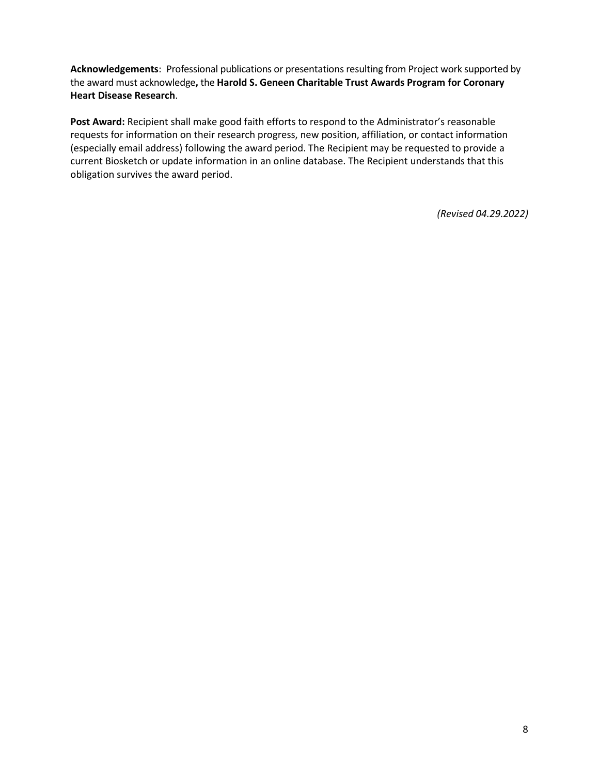**Acknowledgements**: Professional publications or presentations resulting from Project work supported by the award must acknowledge**,** the **Harold S. Geneen Charitable Trust Awards Program for Coronary Heart Disease Research**.

**Post Award:** Recipient shall make good faith efforts to respond to the Administrator's reasonable requests for information on their research progress, new position, affiliation, or contact information (especially email address) following the award period. The Recipient may be requested to provide a current Biosketch or update information in an online database. The Recipient understands that this obligation survives the award period.

*(Revised 04.29.2022)*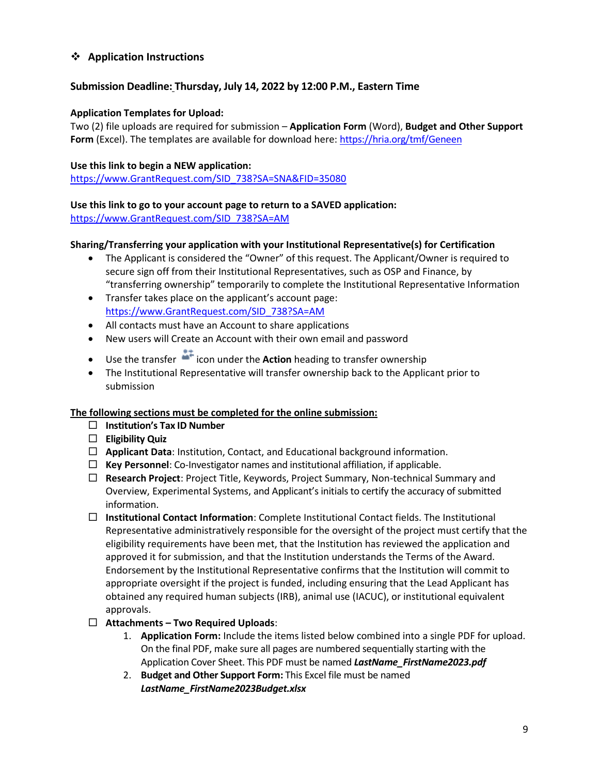# ❖ **Application Instructions**

# **Submission Deadline: Thursday, July 14, 2022 by 12:00 P.M., Eastern Time**

#### **Application Templates for Upload:**

Two (2) file uploads are required for submission – **Application Form** (Word), **Budget and Other Support**  Form (Excel). The templates are available for download here: <https://hria.org/tmf/Geneen>

#### **Use this link to begin a NEW application:**

[https://www.GrantRequest.com/SID\\_738?SA=SNA&FID=35080](https://www.grantrequest.com/SID_738?SA=SNA&FID=35080)

#### **Use this link to go to your account page to return to a SAVED application:**

[https://www.GrantRequest.com/SID\\_738?SA=AM](https://www.grantrequest.com/SID_738?SA=AM)

#### **Sharing/Transferring your application with your Institutional Representative(s) for Certification**

- The Applicant is considered the "Owner" of this request. The Applicant/Owner is required to secure sign off from their Institutional Representatives, such as OSP and Finance, by "transferring ownership" temporarily to complete the Institutional Representative Information
- Transfer takes place on the applicant's account page: [https://www.GrantRequest.com/SID\\_738?SA=AM](https://www.grantrequest.com/SID_738?SA=AM)
- All contacts must have an Account to share applications
- New users will Create an Account with their own email and password
- Use the transfer **in the under the Action** heading to transfer ownership
- The Institutional Representative will transfer ownership back to the Applicant prior to submission

#### **The following sections must be completed for the online submission:**

- **Institution's Tax ID Number**
- **Eligibility Quiz**
- **Applicant Data**: Institution, Contact, and Educational background information.
- $\Box$  Key Personnel: Co-Investigator names and institutional affiliation, if applicable.
- **Research Project**: Project Title, Keywords, Project Summary, Non-technical Summary and Overview, Experimental Systems, and Applicant's initials to certify the accuracy of submitted information.
- **Institutional Contact Information**: Complete Institutional Contact fields. The Institutional Representative administratively responsible for the oversight of the project must certify that the eligibility requirements have been met, that the Institution has reviewed the application and approved it for submission, and that the Institution understands the Terms of the Award. Endorsement by the Institutional Representative confirms that the Institution will commit to appropriate oversight if the project is funded, including ensuring that the Lead Applicant has obtained any required human subjects (IRB), animal use (IACUC), or institutional equivalent approvals.
- **Attachments – Two Required Uploads**:
	- 1. **Application Form:** Include the items listed below combined into a single PDF for upload. On the final PDF, make sure all pages are numbered sequentially starting with the Application Cover Sheet. This PDF must be named *LastName\_FirstName2023.pdf*
	- 2. **Budget and Other Support Form:** This Excel file must be named *LastName\_FirstName2023Budget.xlsx*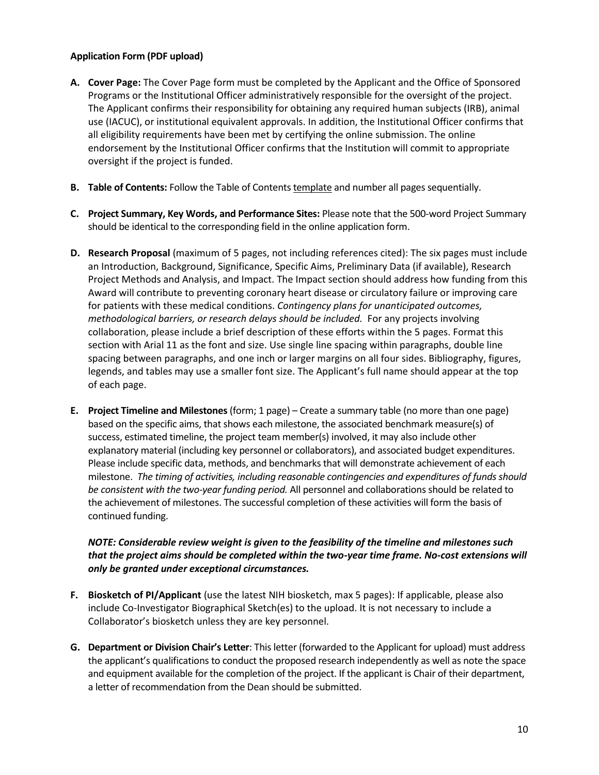#### **Application Form (PDF upload)**

- **A. Cover Page:** The Cover Page form must be completed by the Applicant and the Office of Sponsored Programs or the Institutional Officer administratively responsible for the oversight of the project. The Applicant confirms their responsibility for obtaining any required human subjects (IRB), animal use (IACUC), or institutional equivalent approvals. In addition, the Institutional Officer confirms that all eligibility requirements have been met by certifying the online submission. The online endorsement by the Institutional Officer confirms that the Institution will commit to appropriate oversight if the project is funded.
- **B. Table of Contents:** Follow the Table of Contents template and number all pages sequentially.
- **C. Project Summary, Key Words, and Performance Sites:** Please note that the 500-word Project Summary should be identical to the corresponding field in the online application form.
- **D. Research Proposal** (maximum of 5 pages, not including references cited): The six pages must include an Introduction, Background, Significance, Specific Aims, Preliminary Data (if available), Research Project Methods and Analysis, and Impact. The Impact section should address how funding from this Award will contribute to preventing coronary heart disease or circulatory failure or improving care for patients with these medical conditions. *Contingency plans for unanticipated outcomes, methodological barriers, or research delays should be included.* For any projects involving collaboration, please include a brief description of these efforts within the 5 pages. Format this section with Arial 11 as the font and size. Use single line spacing within paragraphs, double line spacing between paragraphs, and one inch or larger margins on all four sides. Bibliography, figures, legends, and tables may use a smaller font size. The Applicant's full name should appear at the top of each page.
- **E. Project Timeline and Milestones** (form; 1 page) Create a summary table (no more than one page) based on the specific aims, that shows each milestone, the associated benchmark measure(s) of success, estimated timeline, the project team member(s) involved, it may also include other explanatory material (including key personnel or collaborators), and associated budget expenditures. Please include specific data, methods, and benchmarks that will demonstrate achievement of each milestone. *The timing of activities, including reasonable contingencies and expenditures of funds should be consistent with the two-year funding period.* All personnel and collaborations should be related to the achievement of milestones. The successful completion of these activities will form the basis of continued funding.

#### *NOTE: Considerable review weight is given to the feasibility of the timeline and milestones such that the project aims should be completed within the two-year time frame. No-cost extensions will only be granted under exceptional circumstances.*

- **F. Biosketch of PI/Applicant** (use the latest NIH biosketch, max 5 pages): If applicable, please also include Co‐Investigator Biographical Sketch(es) to the upload. It is not necessary to include a Collaborator's biosketch unless they are key personnel.
- **G. Department or Division Chair's Letter**: This letter (forwarded to the Applicant for upload) must address the applicant's qualifications to conduct the proposed research independently as well as note the space and equipment available for the completion of the project. If the applicant is Chair of their department, a letter of recommendation from the Dean should be submitted.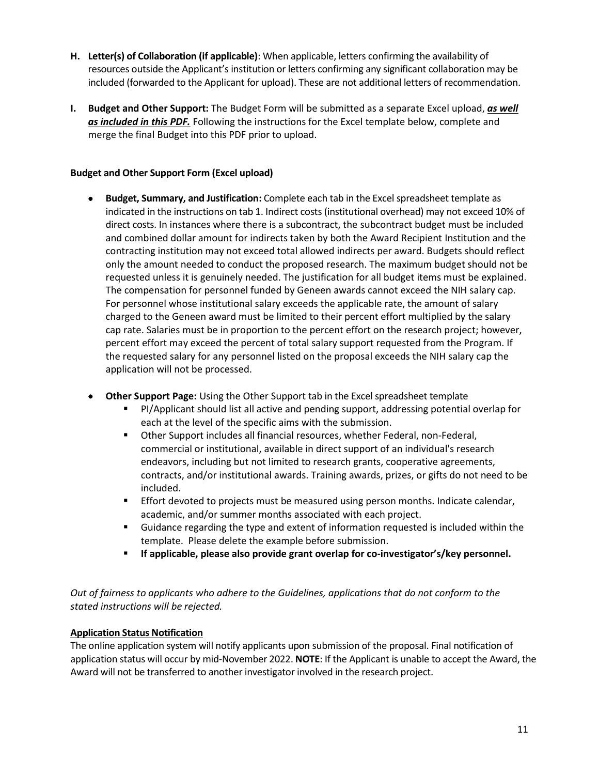- **H. Letter(s) of Collaboration (if applicable)**: When applicable, letters confirming the availability of resources outside the Applicant's institution or letters confirming any significant collaboration may be included (forwarded to the Applicant for upload). These are not additional letters of recommendation.
- **I. Budget and Other Support:** The Budget Form will be submitted as a separate Excel upload, *as well as included in this PDF.* Following the instructions for the Excel template below, complete and merge the final Budget into this PDF prior to upload.

#### **Budget and Other Support Form (Excel upload)**

- **Budget, Summary, and Justification:** Complete each tab in the Excel spreadsheet template as indicated in the instructions on tab 1. Indirect costs (institutional overhead) may not exceed 10% of direct costs. In instances where there is a subcontract, the subcontract budget must be included and combined dollar amount for indirects taken by both the Award Recipient Institution and the contracting institution may not exceed total allowed indirects per award. Budgets should reflect only the amount needed to conduct the proposed research. The maximum budget should not be requested unless it is genuinely needed. The justification for all budget items must be explained. The compensation for personnel funded by Geneen awards cannot exceed the NIH salary cap. For personnel whose institutional salary exceeds the applicable rate, the amount of salary charged to the Geneen award must be limited to their percent effort multiplied by the salary cap rate. Salaries must be in proportion to the percent effort on the research project; however, percent effort may exceed the percent of total salary support requested from the Program. If the requested salary for any personnel listed on the proposal exceeds the NIH salary cap the application will not be processed.
- **Other Support Page:** Using the Other Support tab in the Excel spreadsheet template
	- PI/Applicant should list all active and pending support, addressing potential overlap for each at the level of the specific aims with the submission.
	- Other Support includes all financial resources, whether Federal, non-Federal, commercial or institutional, available in direct support of an individual's research endeavors, including but not limited to research grants, cooperative agreements, contracts, and/or institutional awards. Training awards, prizes, or gifts do not need to be included.
	- **Effort devoted to projects must be measured using person months. Indicate calendar,** academic, and/or summer months associated with each project.
	- Guidance regarding the type and extent of information requested is included within the template. Please delete the example before submission.
	- **If applicable, please also provide grant overlap for co-investigator's/key personnel.**

*Out of fairness to applicants who adhere to the Guidelines, applications that do not conform to the stated instructions will be rejected.* 

#### **Application Status Notification**

The online application system will notify applicants upon submission of the proposal. Final notification of application status will occur by mid-November 2022. **NOTE**: If the Applicant is unable to accept the Award, the Award will not be transferred to another investigator involved in the research project.